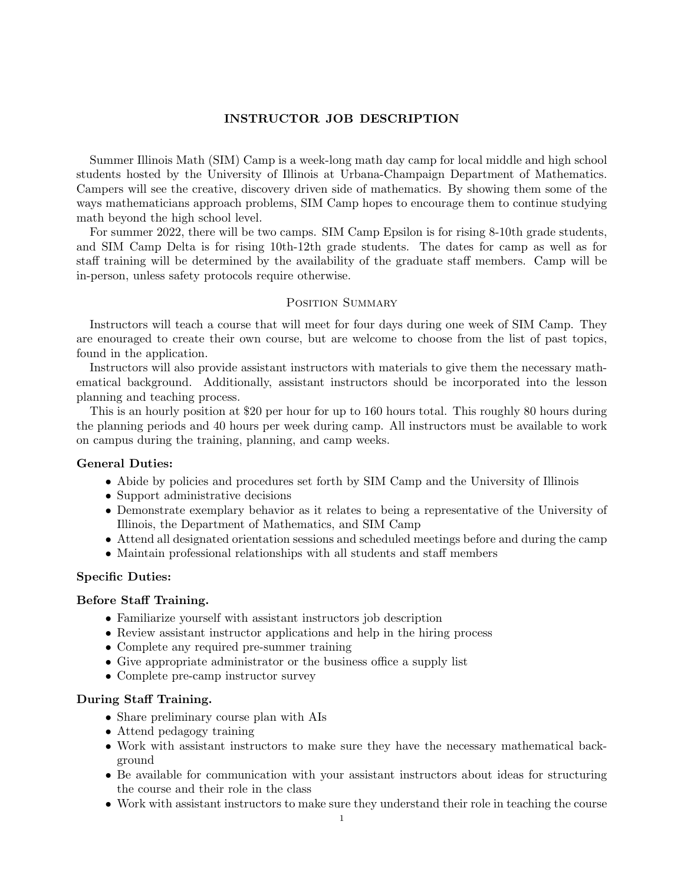### INSTRUCTOR JOB DESCRIPTION

Summer Illinois Math (SIM) Camp is a week-long math day camp for local middle and high school students hosted by the University of Illinois at Urbana-Champaign Department of Mathematics. Campers will see the creative, discovery driven side of mathematics. By showing them some of the ways mathematicians approach problems, SIM Camp hopes to encourage them to continue studying math beyond the high school level.

For summer 2022, there will be two camps. SIM Camp Epsilon is for rising 8-10th grade students, and SIM Camp Delta is for rising 10th-12th grade students. The dates for camp as well as for staff training will be determined by the availability of the graduate staff members. Camp will be in-person, unless safety protocols require otherwise.

#### POSITION SUMMARY

Instructors will teach a course that will meet for four days during one week of SIM Camp. They are enouraged to create their own course, but are welcome to choose from the list of past topics, found in the application.

Instructors will also provide assistant instructors with materials to give them the necessary mathematical background. Additionally, assistant instructors should be incorporated into the lesson planning and teaching process.

This is an hourly position at \$20 per hour for up to 160 hours total. This roughly 80 hours during the planning periods and 40 hours per week during camp. All instructors must be available to work on campus during the training, planning, and camp weeks.

### General Duties:

- Abide by policies and procedures set forth by SIM Camp and the University of Illinois
- Support administrative decisions
- Demonstrate exemplary behavior as it relates to being a representative of the University of Illinois, the Department of Mathematics, and SIM Camp
- Attend all designated orientation sessions and scheduled meetings before and during the camp
- Maintain professional relationships with all students and staff members

### Specific Duties:

#### Before Staff Training.

- Familiarize yourself with assistant instructors job description
- Review assistant instructor applications and help in the hiring process
- Complete any required pre-summer training
- Give appropriate administrator or the business office a supply list
- Complete pre-camp instructor survey

# During Staff Training.

- Share preliminary course plan with AIs
- Attend pedagogy training
- Work with assistant instructors to make sure they have the necessary mathematical background
- Be available for communication with your assistant instructors about ideas for structuring the course and their role in the class
- Work with assistant instructors to make sure they understand their role in teaching the course